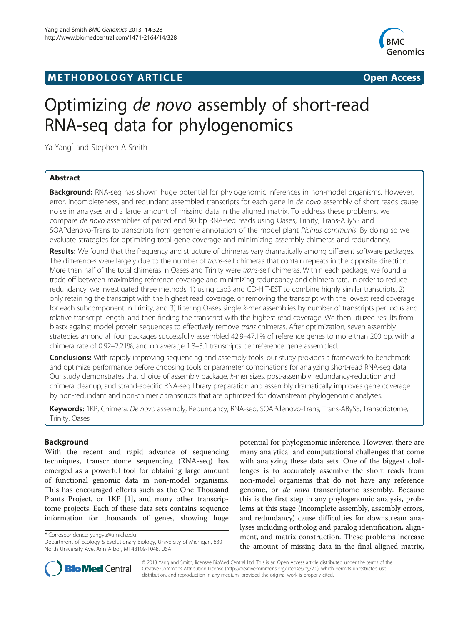## **METHODOLOGY ARTICLE CONSUMING A RESERVE AND LODGE ACCESS**



# Optimizing de novo assembly of short-read RNA-seq data for phylogenomics

Ya Yang\* and Stephen A Smith

## Abstract

Background: RNA-seq has shown huge potential for phylogenomic inferences in non-model organisms. However, error, incompleteness, and redundant assembled transcripts for each gene in *de novo* assembly of short reads cause noise in analyses and a large amount of missing data in the aligned matrix. To address these problems, we compare de novo assemblies of paired end 90 bp RNA-seq reads using Oases, Trinity, Trans-ABySS and SOAPdenovo-Trans to transcripts from genome annotation of the model plant Ricinus communis. By doing so we evaluate strategies for optimizing total gene coverage and minimizing assembly chimeras and redundancy.

Results: We found that the frequency and structure of chimeras vary dramatically among different software packages. The differences were largely due to the number of trans-self chimeras that contain repeats in the opposite direction. More than half of the total chimeras in Oases and Trinity were trans-self chimeras. Within each package, we found a trade-off between maximizing reference coverage and minimizing redundancy and chimera rate. In order to reduce redundancy, we investigated three methods: 1) using cap3 and CD-HIT-EST to combine highly similar transcripts, 2) only retaining the transcript with the highest read coverage, or removing the transcript with the lowest read coverage for each subcomponent in Trinity, and 3) filtering Oases single k-mer assemblies by number of transcripts per locus and relative transcript length, and then finding the transcript with the highest read coverage. We then utilized results from blastx against model protein sequences to effectively remove trans chimeras. After optimization, seven assembly strategies among all four packages successfully assembled 42.9–47.1% of reference genes to more than 200 bp, with a chimera rate of 0.92–2.21%, and on average 1.8–3.1 transcripts per reference gene assembled.

**Conclusions:** With rapidly improving sequencing and assembly tools, our study provides a framework to benchmark and optimize performance before choosing tools or parameter combinations for analyzing short-read RNA-seq data. Our study demonstrates that choice of assembly package, k-mer sizes, post-assembly redundancy-reduction and chimera cleanup, and strand-specific RNA-seq library preparation and assembly dramatically improves gene coverage by non-redundant and non-chimeric transcripts that are optimized for downstream phylogenomic analyses.

Keywords: 1KP, Chimera, De novo assembly, Redundancy, RNA-seq, SOAPdenovo-Trans, Trans-ABySS, Transcriptome, Trinity, Oases

## Background

With the recent and rapid advance of sequencing techniques, transcriptome sequencing (RNA-seq) has emerged as a powerful tool for obtaining large amount of functional genomic data in non-model organisms. This has encouraged efforts such as the One Thousand Plants Project, or 1KP [[1](#page-9-0)], and many other transcriptome projects. Each of these data sets contains sequence information for thousands of genes, showing huge

\* Correspondence: [yangya@umich.edu](mailto:yangya@umich.edu)

potential for phylogenomic inference. However, there are many analytical and computational challenges that come with analyzing these data sets. One of the biggest challenges is to accurately assemble the short reads from non-model organisms that do not have any reference genome, or de novo transcriptome assembly. Because this is the first step in any phylogenomic analysis, problems at this stage (incomplete assembly, assembly errors, and redundancy) cause difficulties for downstream analyses including ortholog and paralog identification, alignment, and matrix construction. These problems increase the amount of missing data in the final aligned matrix,



© 2013 Yang and Smith; licensee BioMed Central Ltd. This is an Open Access article distributed under the terms of the Creative Commons Attribution License (<http://creativecommons.org/licenses/by/2.0>), which permits unrestricted use, distribution, and reproduction in any medium, provided the original work is properly cited.

Department of Ecology & Evolutionary Biology, University of Michigan, 830 North University Ave, Ann Arbor, MI 48109-1048, USA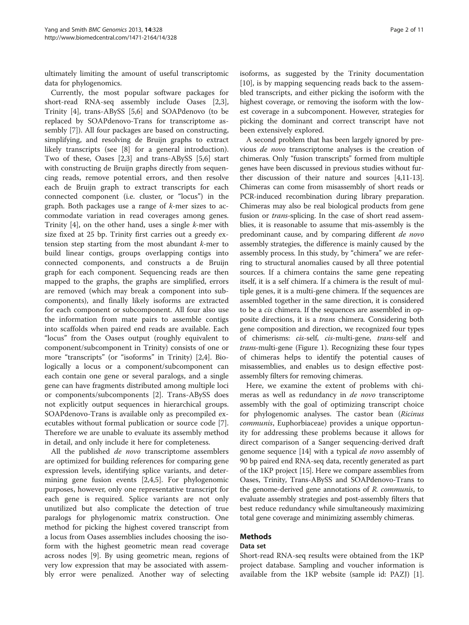ultimately limiting the amount of useful transcriptomic data for phylogenomics.

Currently, the most popular software packages for short-read RNA-seq assembly include Oases [\[2,3](#page-9-0)], Trinity [[4\]](#page-9-0), trans-ABySS [\[5](#page-9-0),[6](#page-9-0)] and SOAPdenovo (to be replaced by SOAPdenovo-Trans for transcriptome assembly [\[7](#page-9-0)]). All four packages are based on constructing, simplifying, and resolving de Bruijn graphs to extract likely transcripts (see [\[8](#page-9-0)] for a general introduction). Two of these, Oases [\[2,3](#page-9-0)] and trans-ABySS [\[5,6](#page-9-0)] start with constructing de Bruijn graphs directly from sequencing reads, remove potential errors, and then resolve each de Bruijn graph to extract transcripts for each connected component (i.e. cluster, or "locus") in the graph. Both packages use a range of k-mer sizes to accommodate variation in read coverages among genes. Trinity  $[4]$  $[4]$ , on the other hand, uses a single *k*-mer with size fixed at 25 bp. Trinity first carries out a greedy extension step starting from the most abundant k-mer to build linear contigs, groups overlapping contigs into connected components, and constructs a de Bruijn graph for each component. Sequencing reads are then mapped to the graphs, the graphs are simplified, errors are removed (which may break a component into subcomponents), and finally likely isoforms are extracted for each component or subcomponent. All four also use the information from mate pairs to assemble contigs into scaffolds when paired end reads are available. Each "locus" from the Oases output (roughly equivalent to component/subcomponent in Trinity) consists of one or more "transcripts" (or "isoforms" in Trinity) [[2,4\]](#page-9-0). Biologically a locus or a component/subcomponent can each contain one gene or several paralogs, and a single gene can have fragments distributed among multiple loci or components/subcomponents [\[2](#page-9-0)]. Trans-ABySS does not explicitly output sequences in hierarchical groups. SOAPdenovo-Trans is available only as precompiled executables without formal publication or source code [\[7](#page-9-0)]. Therefore we are unable to evaluate its assembly method in detail, and only include it here for completeness.

All the published *de novo* transcriptome assemblers are optimized for building references for comparing gene expression levels, identifying splice variants, and determining gene fusion events [[2,4,5\]](#page-9-0). For phylogenomic purposes, however, only one representative transcript for each gene is required. Splice variants are not only unutilized but also complicate the detection of true paralogs for phylogenomic matrix construction. One method for picking the highest covered transcript from a locus from Oases assemblies includes choosing the isoform with the highest geometric mean read coverage across nodes [\[9\]](#page-9-0). By using geometric mean, regions of very low expression that may be associated with assembly error were penalized. Another way of selecting

isoforms, as suggested by the Trinity documentation [[10\]](#page-9-0), is by mapping sequencing reads back to the assembled transcripts, and either picking the isoform with the highest coverage, or removing the isoform with the lowest coverage in a subcomponent. However, strategies for picking the dominant and correct transcript have not been extensively explored.

A second problem that has been largely ignored by previous de novo transcriptome analyses is the creation of chimeras. Only "fusion transcripts" formed from multiple genes have been discussed in previous studies without further discussion of their nature and sources [[4,11](#page-9-0)-[13](#page-9-0)]. Chimeras can come from misassembly of short reads or PCR-induced recombination during library preparation. Chimeras may also be real biological products from gene fusion or trans-splicing. In the case of short read assemblies, it is reasonable to assume that mis-assembly is the predominant cause, and by comparing different de novo assembly strategies, the difference is mainly caused by the assembly process. In this study, by "chimera" we are referring to structural anomalies caused by all three potential sources. If a chimera contains the same gene repeating itself, it is a self chimera. If a chimera is the result of multiple genes, it is a multi-gene chimera. If the sequences are assembled together in the same direction, it is considered to be a cis chimera. If the sequences are assembled in opposite directions, it is a trans chimera. Considering both gene composition and direction, we recognized four types of chimerisms: cis-self, cis-multi-gene, trans-self and trans-multi-gene (Figure [1](#page-2-0)). Recognizing these four types of chimeras helps to identify the potential causes of misassemblies, and enables us to design effective postassembly filters for removing chimeras.

Here, we examine the extent of problems with chimeras as well as redundancy in de novo transcriptome assembly with the goal of optimizing transcript choice for phylogenomic analyses. The castor bean (Ricinus communis, Euphorbiaceae) provides a unique opportunity for addressing these problems because it allows for direct comparison of a Sanger sequencing-derived draft genome sequence [[14](#page-9-0)] with a typical *de novo* assembly of 90 bp paired end RNA-seq data, recently generated as part of the 1KP project [\[15\]](#page-9-0). Here we compare assemblies from Oases, Trinity, Trans-ABySS and SOAPdenovo-Trans to the genome-derived gene annotations of R. communis, to evaluate assembly strategies and post-assembly filters that best reduce redundancy while simultaneously maximizing total gene coverage and minimizing assembly chimeras.

## Methods

#### Data set

Short-read RNA-seq results were obtained from the 1KP project database. Sampling and voucher information is available from the 1KP website (sample id: PAZJ) [\[1](#page-9-0)].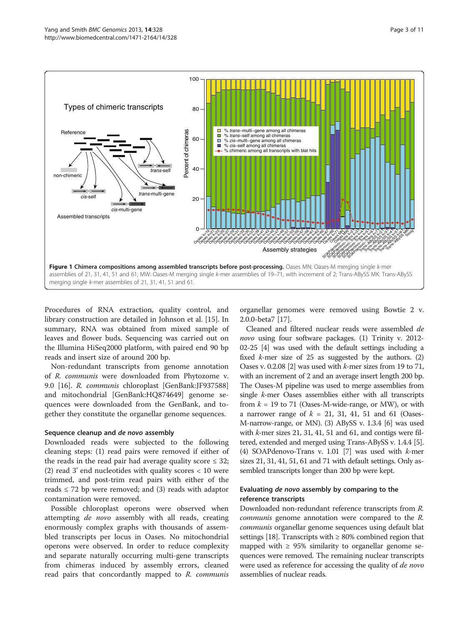<span id="page-2-0"></span>

Procedures of RNA extraction, quality control, and library construction are detailed in Johnson et al. [[15\]](#page-9-0). In summary, RNA was obtained from mixed sample of leaves and flower buds. Sequencing was carried out on the Illumina HiSeq2000 platform, with paired end 90 bp reads and insert size of around 200 bp.

Non-redundant transcripts from genome annotation of R. communis were downloaded from Phytozome v. 9.0 [[16\]](#page-9-0). R. communis chloroplast [GenBank:JF937588] and mitochondrial [GenBank:HQ874649] genome sequences were downloaded from the GenBank, and together they constitute the organellar genome sequences.

#### Sequence cleanup and de novo assembly

Downloaded reads were subjected to the following cleaning steps: (1) read pairs were removed if either of the reads in the read pair had average quality score  $\leq 32$ ; (2) read 3' end nucleotides with quality scores < 10 were trimmed, and post-trim read pairs with either of the reads  $\leq$  72 bp were removed; and (3) reads with adaptor contamination were removed.

Possible chloroplast operons were observed when attempting *de novo* assembly with all reads, creating enormously complex graphs with thousands of assembled transcripts per locus in Oases. No mitochondrial operons were observed. In order to reduce complexity and separate naturally occurring multi-gene transcripts from chimeras induced by assembly errors, cleaned read pairs that concordantly mapped to R. communis

organellar genomes were removed using Bowtie 2 v. 2.0.0-beta7 [\[17](#page-9-0)].

Cleaned and filtered nuclear reads were assembled de novo using four software packages. (1) Trinity v. 2012-02-25 [[4](#page-9-0)] was used with the default settings including a fixed  $k$ -mer size of 25 as suggested by the authors. (2) Oases v. 0.2.08 [\[2\]](#page-9-0) was used with k-mer sizes from 19 to 71, with an increment of 2 and an average insert length 200 bp. The Oases-M pipeline was used to merge assemblies from single k-mer Oases assemblies either with all transcripts from  $k = 19$  to 71 (Oases-M-wide-range, or MW), or with a narrower range of  $k = 21, 31, 41, 51$  and 61 (Oases-M-narrow-range, or MN). (3) ABySS v. 1.3.4 [\[6\]](#page-9-0) was used with  $k$ -mer sizes 21, 31, 41, 51 and 61, and contigs were filtered, extended and merged using Trans-ABySS v. 1.4.4 [[5](#page-9-0)]. (4) SOAPdenovo-Trans v. 1.01 [[7\]](#page-9-0) was used with  $k$ -mer sizes 21, 31, 41, 51, 61 and 71 with default settings. Only assembled transcripts longer than 200 bp were kept.

## Evaluating de novo assembly by comparing to the reference transcripts

Downloaded non-redundant reference transcripts from R. communis genome annotation were compared to the R. communis organellar genome sequences using default blat settings [[18](#page-9-0)]. Transcripts with  $\geq 80\%$  combined region that mapped with  $\geq$  95% similarity to organellar genome sequences were removed. The remaining nuclear transcripts were used as reference for accessing the quality of *de novo* assemblies of nuclear reads.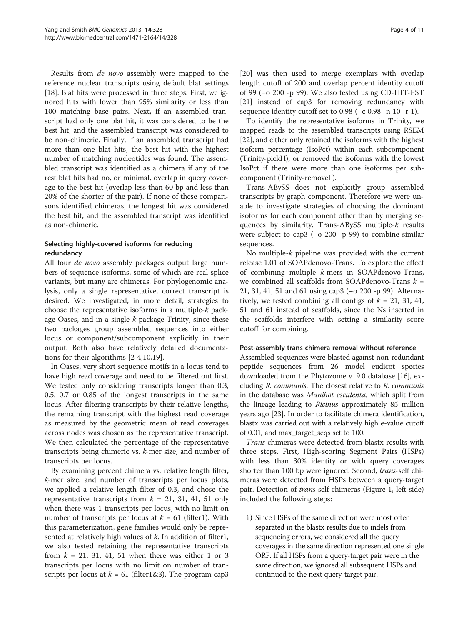Results from de novo assembly were mapped to the reference nuclear transcripts using default blat settings [[18\]](#page-9-0). Blat hits were processed in three steps. First, we ignored hits with lower than 95% similarity or less than 100 matching base pairs. Next, if an assembled transcript had only one blat hit, it was considered to be the best hit, and the assembled transcript was considered to be non-chimeric. Finally, if an assembled transcript had more than one blat hits, the best hit with the highest number of matching nucleotides was found. The assembled transcript was identified as a chimera if any of the rest blat hits had no, or minimal, overlap in query coverage to the best hit (overlap less than 60 bp and less than 20% of the shorter of the pair). If none of these comparisons identified chimeras, the longest hit was considered the best hit, and the assembled transcript was identified as non-chimeric.

## Selecting highly-covered isoforms for reducing redundancy

All four *de novo* assembly packages output large numbers of sequence isoforms, some of which are real splice variants, but many are chimeras. For phylogenomic analysis, only a single representative, correct transcript is desired. We investigated, in more detail, strategies to choose the representative isoforms in a multiple-k package Oases, and in a single- $k$  package Trinity, since these two packages group assembled sequences into either locus or component/subcomponent explicitly in their output. Both also have relatively detailed documentations for their algorithms [[2-4,10,19](#page-9-0)].

In Oases, very short sequence motifs in a locus tend to have high read coverage and need to be filtered out first. We tested only considering transcripts longer than 0.3, 0.5, 0.7 or 0.85 of the longest transcripts in the same locus. After filtering transcripts by their relative lengths, the remaining transcript with the highest read coverage as measured by the geometric mean of read coverages across nodes was chosen as the representative transcript. We then calculated the percentage of the representative transcripts being chimeric vs. k-mer size, and number of transcripts per locus.

By examining percent chimera vs. relative length filter, k-mer size, and number of transcripts per locus plots, we applied a relative length filter of 0.3, and chose the representative transcripts from  $k = 21, 31, 41, 51$  only when there was 1 transcripts per locus, with no limit on number of transcripts per locus at  $k = 61$  (filter1). With this parameterization, gene families would only be represented at relatively high values of  $k$ . In addition of filter1, we also tested retaining the representative transcripts from  $k = 21, 31, 41, 51$  when there was either 1 or 3 transcripts per locus with no limit on number of transcripts per locus at  $k = 61$  (filter1&3). The program cap3

[[20\]](#page-9-0) was then used to merge exemplars with overlap length cutoff of 200 and overlap percent identity cutoff of 99 (−o 200 -p 99). We also tested using CD-HIT-EST [[21\]](#page-9-0) instead of cap3 for removing redundancy with sequence identity cutoff set to 0.98 (−c 0.98 -n 10 -r 1).

To identify the representative isoforms in Trinity, we mapped reads to the assembled transcripts using RSEM [[22](#page-10-0)], and either only retained the isoforms with the highest isoform percentage (IsoPct) within each subcomponent (Trinity-pickH), or removed the isoforms with the lowest IsoPct if there were more than one isoforms per subcomponent (Trinity-removeL).

Trans-ABySS does not explicitly group assembled transcripts by graph component. Therefore we were unable to investigate strategies of choosing the dominant isoforms for each component other than by merging sequences by similarity. Trans-ABySS multiple-k results were subject to cap3 (−o 200 -p 99) to combine similar sequences.

No multiple-k pipeline was provided with the current release 1.01 of SOAPdenovo-Trans. To explore the effect of combining multiple k-mers in SOAPdenovo-Trans, we combined all scaffolds from SOAPdenovo-Trans  $k =$ 21, 31, 41, 51 and 61 using cap3 (−o 200 -p 99). Alternatively, we tested combining all contigs of  $k = 21, 31, 41$ , 51 and 61 instead of scaffolds, since the Ns inserted in the scaffolds interfere with setting a similarity score cutoff for combining.

#### Post-assembly trans chimera removal without reference

Assembled sequences were blasted against non-redundant peptide sequences from 26 model eudicot species downloaded from the Phytozome v. 9.0 database [\[16\]](#page-9-0), excluding R. communis. The closest relative to R. communis in the database was Manihot esculenta, which split from the lineage leading to Ricinus approximately 85 million years ago [[23](#page-10-0)]. In order to facilitate chimera identification, blastx was carried out with a relatively high e-value cutoff of 0.01, and max\_target\_seqs set to 100.

Trans chimeras were detected from blastx results with three steps. First, High-scoring Segment Pairs (HSPs) with less than 30% identity or with query coverages shorter than 100 bp were ignored. Second, *trans-self* chimeras were detected from HSPs between a query-target pair. Detection of *trans-self* chimeras (Figure [1,](#page-2-0) left side) included the following steps:

1) Since HSPs of the same direction were most often separated in the blastx results due to indels from sequencing errors, we considered all the query coverages in the same direction represented one single ORF. If all HSPs from a query-target pair were in the same direction, we ignored all subsequent HSPs and continued to the next query-target pair.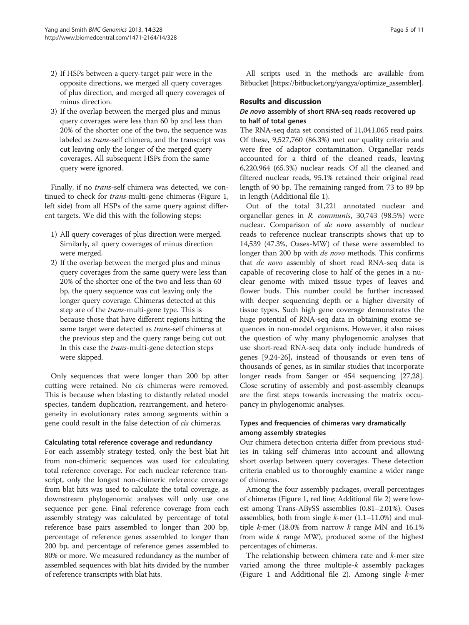- 2) If HSPs between a query-target pair were in the opposite directions, we merged all query coverages of plus direction, and merged all query coverages of minus direction.
- 3) If the overlap between the merged plus and minus query coverages were less than 60 bp and less than 20% of the shorter one of the two, the sequence was labeled as trans-self chimera, and the transcript was cut leaving only the longer of the merged query coverages. All subsequent HSPs from the same query were ignored.

Finally, if no trans-self chimera was detected, we continued to check for trans-multi-gene chimeras (Figure [1](#page-2-0), left side) from all HSPs of the same query against different targets. We did this with the following steps:

- 1) All query coverages of plus direction were merged. Similarly, all query coverages of minus direction were merged.
- 2) If the overlap between the merged plus and minus query coverages from the same query were less than 20% of the shorter one of the two and less than 60 bp, the query sequence was cut leaving only the longer query coverage. Chimeras detected at this step are of the trans-multi-gene type. This is because those that have different regions hitting the same target were detected as trans-self chimeras at the previous step and the query range being cut out. In this case the trans-multi-gene detection steps were skipped.

Only sequences that were longer than 200 bp after cutting were retained. No cis chimeras were removed. This is because when blasting to distantly related model species, tandem duplication, rearrangement, and heterogeneity in evolutionary rates among segments within a gene could result in the false detection of cis chimeras.

#### Calculating total reference coverage and redundancy

For each assembly strategy tested, only the best blat hit from non-chimeric sequences was used for calculating total reference coverage. For each nuclear reference transcript, only the longest non-chimeric reference coverage from blat hits was used to calculate the total coverage, as downstream phylogenomic analyses will only use one sequence per gene. Final reference coverage from each assembly strategy was calculated by percentage of total reference base pairs assembled to longer than 200 bp, percentage of reference genes assembled to longer than 200 bp, and percentage of reference genes assembled to 80% or more. We measured redundancy as the number of assembled sequences with blat hits divided by the number of reference transcripts with blat hits.

All scripts used in the methods are available from Bitbucket [[https://bitbucket.org/yangya/optimize\\_assembler\]](https://bitbucket.org/yangya/optimize_assembler).

#### Results and discussion

## De novo assembly of short RNA-seq reads recovered up to half of total genes

The RNA-seq data set consisted of 11,041,065 read pairs. Of these, 9,527,760 (86.3%) met our quality criteria and were free of adaptor contamination. Organellar reads accounted for a third of the cleaned reads, leaving 6,220,964 (65.3%) nuclear reads. Of all the cleaned and filtered nuclear reads, 95.1% retained their original read length of 90 bp. The remaining ranged from 73 to 89 bp in length (Additional file [1\)](#page-9-0).

Out of the total 31,221 annotated nuclear and organellar genes in R. communis, 30,743 (98.5%) were nuclear. Comparison of de novo assembly of nuclear reads to reference nuclear transcripts shows that up to 14,539 (47.3%, Oases-MW) of these were assembled to longer than 200 bp with *de novo* methods. This confirms that de novo assembly of short read RNA-seq data is capable of recovering close to half of the genes in a nuclear genome with mixed tissue types of leaves and flower buds. This number could be further increased with deeper sequencing depth or a higher diversity of tissue types. Such high gene coverage demonstrates the huge potential of RNA-seq data in obtaining exome sequences in non-model organisms. However, it also raises the question of why many phylogenomic analyses that use short-read RNA-seq data only include hundreds of genes [[9,](#page-9-0)[24-26](#page-10-0)], instead of thousands or even tens of thousands of genes, as in similar studies that incorporate longer reads from Sanger or 454 sequencing [\[27,28](#page-10-0)]. Close scrutiny of assembly and post-assembly cleanups are the first steps towards increasing the matrix occupancy in phylogenomic analyses.

## Types and frequencies of chimeras vary dramatically among assembly strategies

Our chimera detection criteria differ from previous studies in taking self chimeras into account and allowing short overlap between query coverages. These detection criteria enabled us to thoroughly examine a wider range of chimeras.

Among the four assembly packages, overall percentages of chimeras (Figure [1,](#page-2-0) red line; Additional file [2](#page-9-0)) were lowest among Trans-ABySS assemblies (0.81–2.01%). Oases assemblies, both from single  $k$ -mer  $(1.1-11.0%)$  and multiple *k*-mer (18.0% from narrow *k* range MN and  $16.1\%$ from wide  $k$  range MW), produced some of the highest percentages of chimeras.

The relationship between chimera rate and k-mer size varied among the three multiple- $k$  assembly packages (Figure [1](#page-2-0) and Additional file [2\)](#page-9-0). Among single k-mer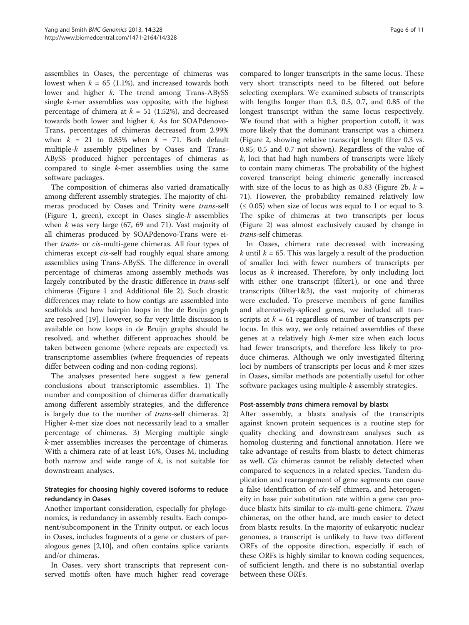assemblies in Oases, the percentage of chimeras was lowest when  $k = 65$  (1.1%), and increased towards both lower and higher *k*. The trend among Trans-ABySS single k-mer assemblies was opposite, with the highest percentage of chimera at  $k = 51$  (1.52%), and decreased towards both lower and higher k. As for SOAPdenovo-Trans, percentages of chimeras decreased from 2.99% when  $k = 21$  to 0.85% when  $k = 71$ . Both default multiple-k assembly pipelines by Oases and Trans-ABySS produced higher percentages of chimeras as compared to single k-mer assemblies using the same software packages.

The composition of chimeras also varied dramatically among different assembly strategies. The majority of chimeras produced by Oases and Trinity were trans-self (Figure [1,](#page-2-0) green), except in Oases single- $k$  assemblies when  $k$  was very large (67, 69 and 71). Vast majority of all chimeras produced by SOAPdenovo-Trans were either trans- or cis-multi-gene chimeras. All four types of chimeras except cis-self had roughly equal share among assemblies using Trans-ABySS. The difference in overall percentage of chimeras among assembly methods was largely contributed by the drastic difference in trans-self chimeras (Figure [1](#page-2-0) and Additional file [2](#page-9-0)). Such drastic differences may relate to how contigs are assembled into scaffolds and how hairpin loops in the de Bruijn graph are resolved [\[19\]](#page-9-0). However, so far very little discussion is available on how loops in de Bruijn graphs should be resolved, and whether different approaches should be taken between genome (where repeats are expected) vs. transcriptome assemblies (where frequencies of repeats differ between coding and non-coding regions).

The analyses presented here suggest a few general conclusions about transcriptomic assemblies. 1) The number and composition of chimeras differ dramatically among different assembly strategies, and the difference is largely due to the number of trans-self chimeras. 2) Higher k-mer size does not necessarily lead to a smaller percentage of chimeras. 3) Merging multiple single k-mer assemblies increases the percentage of chimeras. With a chimera rate of at least 16%, Oases-M, including both narrow and wide range of  $k$ , is not suitable for downstream analyses.

## Strategies for choosing highly covered isoforms to reduce redundancy in Oases

Another important consideration, especially for phylogenomics, is redundancy in assembly results. Each component/subcomponent in the Trinity output, or each locus in Oases, includes fragments of a gene or clusters of paralogous genes [[2,10\]](#page-9-0), and often contains splice variants and/or chimeras.

In Oases, very short transcripts that represent conserved motifs often have much higher read coverage

compared to longer transcripts in the same locus. These very short transcripts need to be filtered out before selecting exemplars. We examined subsets of transcripts with lengths longer than 0.3, 0.5, 0.7, and 0.85 of the longest transcript within the same locus respectively. We found that with a higher proportion cutoff, it was more likely that the dominant transcript was a chimera (Figure [2](#page-6-0), showing relative transcript length filter 0.3 vs. 0.85; 0.5 and 0.7 not shown). Regardless of the value of  $k$ , loci that had high numbers of transcripts were likely to contain many chimeras. The probability of the highest covered transcript being chimeric generally increased with size of the locus to as high as 0.83 (Figure [2b](#page-6-0),  $k =$ 71). However, the probability remained relatively low  $(\leq 0.05)$  when size of locus was equal to 1 or equal to 3. The spike of chimeras at two transcripts per locus (Figure [2](#page-6-0)) was almost exclusively caused by change in trans-self chimeras.

In Oases, chimera rate decreased with increasing  $k$  until  $k = 65$ . This was largely a result of the production of smaller loci with fewer numbers of transcripts per locus as k increased. Therefore, by only including loci with either one transcript (filter1), or one and three transcripts (filter1&3), the vast majority of chimeras were excluded. To preserve members of gene families and alternatively-spliced genes, we included all transcripts at  $k = 61$  regardless of number of transcripts per locus. In this way, we only retained assemblies of these genes at a relatively high k-mer size when each locus had fewer transcripts, and therefore less likely to produce chimeras. Although we only investigated filtering loci by numbers of transcripts per locus and k-mer sizes in Oases, similar methods are potentially useful for other software packages using multiple-k assembly strategies.

## Post-assembly trans chimera removal by blastx

After assembly, a blastx analysis of the transcripts against known protein sequences is a routine step for quality checking and downstream analyses such as homolog clustering and functional annotation. Here we take advantage of results from blastx to detect chimeras as well. Cis chimeras cannot be reliably detected when compared to sequences in a related species. Tandem duplication and rearrangement of gene segments can cause a false identification of cis-self chimera, and heterogeneity in base pair substitution rate within a gene can produce blastx hits similar to cis-multi-gene chimera. Trans chimeras, on the other hand, are much easier to detect from blastx results. In the majority of eukaryotic nuclear genomes, a transcript is unlikely to have two different ORFs of the opposite direction, especially if each of these ORFs is highly similar to known coding sequences, of sufficient length, and there is no substantial overlap between these ORFs.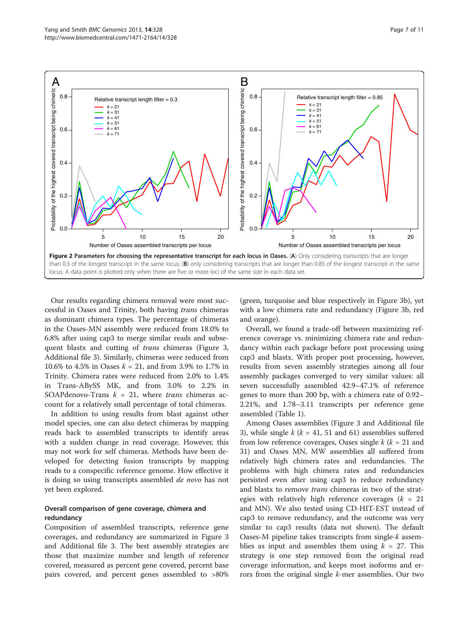<span id="page-6-0"></span>

Our results regarding chimera removal were most successful in Oases and Trinity, both having trans chimeras as dominant chimera types. The percentage of chimeras in the Oases-MN assembly were reduced from 18.0% to 6.8% after using cap3 to merge similar reads and subsequent blastx and cutting of trans chimeras (Figure [3](#page-8-0), Additional file [3](#page-9-0)). Similarly, chimeras were reduced from 10.6% to 4.5% in Oases  $k = 21$ , and from 3.9% to 1.7% in Trinity. Chimera rates were reduced from 2.0% to 1.4% in Trans-ABySS MK, and from 3.0% to 2.2% in SOAPdenovo-Trans  $k = 21$ , where *trans* chimeras account for a relatively small percentage of total chimeras.

In addition to using results from blast against other model species, one can also detect chimeras by mapping reads back to assembled transcripts to identify areas with a sudden change in read coverage. However, this may not work for self chimeras. Methods have been developed for detecting fusion transcripts by mapping reads to a conspecific reference genome. How effective it is doing so using transcripts assembled *de novo* has not yet been explored.

## Overall comparison of gene coverage, chimera and redundancy

Composition of assembled transcripts, reference gene coverages, and redundancy are summarized in Figure [3](#page-8-0) and Additional file [3.](#page-9-0) The best assembly strategies are those that maximize number and length of reference covered, measured as percent gene covered, percent base pairs covered, and percent genes assembled to >80%

(green, turquoise and blue respectively in Figure [3b](#page-8-0)), yet with a low chimera rate and redundancy (Figure [3b](#page-8-0), red and orange).

Overall, we found a trade-off between maximizing reference coverage vs. minimizing chimera rate and redundancy within each package before post processing using cap3 and blastx. With proper post processing, however, results from seven assembly strategies among all four assembly packages converged to very similar values: all seven successfully assembled 42.9–47.1% of reference genes to more than 200 bp, with a chimera rate of 0.92– 2.21%, and 1.78–3.11 transcripts per reference gene assembled (Table [1\)](#page-8-0).

Among Oases assemblies (Figure [3](#page-8-0) and Additional file [3\)](#page-9-0), while single  $k$  ( $k = 41, 51$  and 61) assemblies suffered from low reference coverages, Oases single  $k$  ( $k = 21$  and 31) and Oases MN, MW assemblies all suffered from relatively high chimera rates and redundancies. The problems with high chimera rates and redundancies persisted even after using cap3 to reduce redundancy and blastx to remove *trans* chimeras in two of the strategies with relatively high reference coverages ( $k = 21$ ) and MN). We also tested using CD-HIT-EST instead of cap3 to remove redundancy, and the outcome was very similar to cap3 results (data not shown). The default Oases-M pipeline takes transcripts from single-k assemblies as input and assembles them using  $k = 27$ . This strategy is one step removed from the original read coverage information, and keeps most isoforms and errors from the original single k-mer assemblies. Our two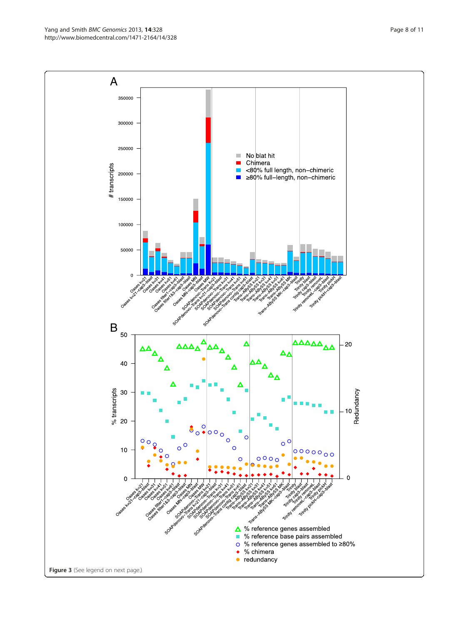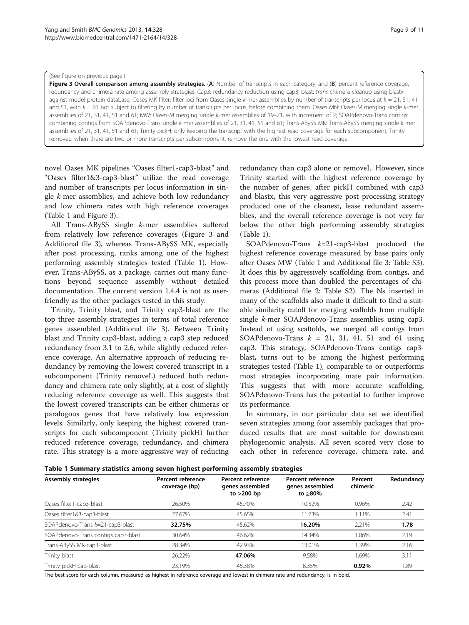#### <span id="page-8-0"></span>(See figure on previous page.)

Figure 3 Overall comparison among assembly strategies. (A) Number of transcripts in each category; and (B) percent reference coverage, redundancy and chimera rate among assembly strategies. Cap3: redundancy reduction using cap3; blast: trans chimera cleanup using blastx against model protein database; Oases MK filter: filter loci from Oases single k-mer assemblies by number of transcripts per locus at  $k = 21$ , 31, 41 and 51, with  $k = 61$  not subject to filtering by number of transcripts per locus, before combining them. Oases MN: Oases-M merging single  $k$ -mer assemblies of 21, 31, 41, 51 and 61; MW: Oases-M merging single k-mer assemblies of 19–71, with increment of 2; SOAPdenovo-Trans contigs: combining contigs from SOAPdenovo-Trans single k-mer assemblies of 21, 31, 41, 51 and 61; Trans-ABySS MK: Trans-ABySS merging single k-mer assemblies of 21, 31, 41, 51 and 61; Trinity pickH: only keeping the transcript with the highest read coverage for each subcomponent; Trinity removeL: when there are two or more transcripts per subcomponent, remove the one with the lowest read coverage.

novel Oases MK pipelines "Oases filter1-cap3-blast" and "Oases filter1&3-cap3-blast" utilize the read coverage and number of transcripts per locus information in single k-mer assemblies, and achieve both low redundancy and low chimera rates with high reference coverages (Table 1 and Figure 3).

All Trans-ABySS single k-mer assemblies suffered from relatively low reference coverages (Figure 3 and Additional file [3](#page-9-0)), whereas Trans-ABySS MK, especially after post processing, ranks among one of the highest performing assembly strategies tested (Table 1). However, Trans-ABySS, as a package, carries out many functions beyond sequence assembly without detailed documentation. The current version 1.4.4 is not as userfriendly as the other packages tested in this study.

Trinity, Trinity blast, and Trinity cap3-blast are the top three assembly strategies in terms of total reference genes assembled (Additional file [3\)](#page-9-0). Between Trinity blast and Trinity cap3-blast, adding a cap3 step reduced redundancy from 3.1 to 2.6, while slightly reduced reference coverage. An alternative approach of reducing redundancy by removing the lowest covered transcript in a subcomponent (Trinity removeL) reduced both redundancy and chimera rate only slightly, at a cost of slightly reducing reference coverage as well. This suggests that the lowest covered transcripts can be either chimeras or paralogous genes that have relatively low expression levels. Similarly, only keeping the highest covered transcripts for each subcomponent (Trinity pickH) further reduced reference coverage, redundancy, and chimera rate. This strategy is a more aggressive way of reducing redundancy than cap3 alone or removeL. However, since Trinity started with the highest reference coverage by the number of genes, after pickH combined with cap3 and blastx, this very aggressive post processing strategy produced one of the cleanest, lease redundant assemblies, and the overall reference coverage is not very far below the other high performing assembly strategies (Table 1).

SOAPdenovo-Trans  $k=21$ -cap3-blast produced the highest reference coverage measured by base pairs only after Oases MW (Table 1 and Additional file [3:](#page-9-0) Table S3). It does this by aggressively scaffolding from contigs, and this process more than doubled the percentages of chimeras (Additional file [2](#page-9-0): Table S2). The Ns inserted in many of the scaffolds also made it difficult to find a suitable similarity cutoff for merging scaffolds from multiple single k-mer SOAPdenovo-Trans assemblies using cap3. Instead of using scaffolds, we merged all contigs from SOAPdenovo-Trans  $k = 21, 31, 41, 51$  and 61 using cap3. This strategy, SOAPdenovo-Trans contigs cap3 blast, turns out to be among the highest performing strategies tested (Table 1), comparable to or outperforms most strategies incorporating mate pair information. This suggests that with more accurate scaffolding, SOAPdenovo-Trans has the potential to further improve its performance.

In summary, in our particular data set we identified seven strategies among four assembly packages that produced results that are most suitable for downstream phylogenomic analysis. All seven scored very close to each other in reference coverage, chimera rate, and

Table 1 Summary statistics among seven highest performing assembly strategies

| <b>Assembly strategies</b>          | Percent reference<br>coverage (bp) | <b>Percent reference</b><br>genes assembled<br>to $>200$ bp | <b>Percent reference</b><br>genes assembled<br>to >80% | Percent<br>chimeric | Redundancy |
|-------------------------------------|------------------------------------|-------------------------------------------------------------|--------------------------------------------------------|---------------------|------------|
| Oases filter1-cap3-blast            | 26.50%                             | 45.70%                                                      | 10.52%                                                 | 0.96%               | 2.42       |
| Oases filter1&3-cap3-blast          | 27.67%                             | 45.65%                                                      | 11.73%                                                 | .11%                | 2.41       |
| SOAPdenovo-Trans k=21-cap3-blast    | 32.75%                             | 45.62%                                                      | 16.20%                                                 | 2.21%               | 1.78       |
| SOAPdenovo-Trans contigs cap3-blast | 30.64%                             | 46.62%                                                      | 14.34%                                                 | 1.06%               | 2.19       |
| Trans-ABySS MK-cap3-blast           | 28.34%                             | 42.93%                                                      | 13.01%                                                 | .39%                | 2.16       |
| Trinity blast                       | 26.22%                             | 47.06%                                                      | 9.58%                                                  | 1.69%               | 3.11       |
| Trinity pickH-cap-blast             | 23.19%                             | 45.38%                                                      | 8.35%                                                  | 0.92%               | .89        |

The best score for each column, measured as highest in reference coverage and lowest in chimera rate and redundancy, is in bold.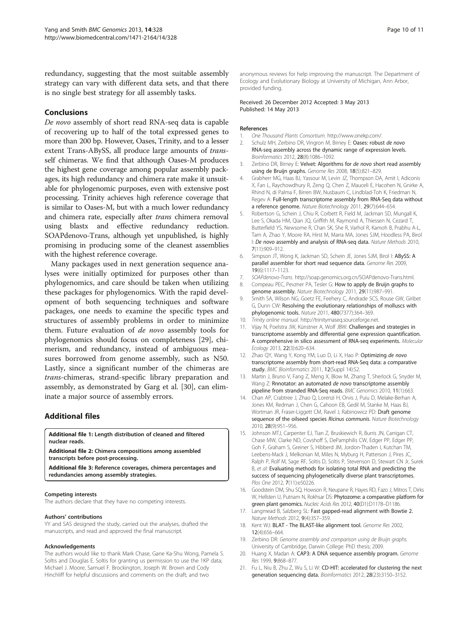<span id="page-9-0"></span>redundancy, suggesting that the most suitable assembly strategy can vary with different data sets, and that there is no single best strategy for all assembly tasks.

## Conclusions

De novo assembly of short read RNA-seq data is capable of recovering up to half of the total expressed genes to more than 200 bp. However, Oases, Trinity, and to a lesser extent Trans-ABySS, all produce large amounts of transself chimeras. We find that although Oases-M produces the highest gene coverage among popular assembly packages, its high redundancy and chimera rate make it unsuitable for phylogenomic purposes, even with extensive post processing. Trinity achieves high reference coverage that is similar to Oases-M, but with a much lower redundancy and chimera rate, especially after trans chimera removal using blastx and effective redundancy reduction. SOAPdenovo-Trans, although yet unpublished, is highly promising in producing some of the cleanest assemblies with the highest reference coverage.

Many packages used in next generation sequence analyses were initially optimized for purposes other than phylogenomics, and care should be taken when utilizing these packages for phylogenomics. With the rapid development of both sequencing techniques and software packages, one needs to examine the specific types and structures of assembly problems in order to minimize them. Future evaluation of de novo assembly tools for phylogenomics should focus on completeness [\[29](#page-10-0)], chimerism, and redundancy, instead of ambiguous measures borrowed from genome assembly, such as N50. Lastly, since a significant number of the chimeras are trans-chimeras, strand-specific library preparation and assembly, as demonstrated by Garg et al. [\[30\]](#page-10-0), can eliminate a major source of assembly errors.

## Additional files

[Additional file 1:](http://www.biomedcentral.com/content/supplementary/1471-2164-14-328-S1.xls) Length distribution of cleaned and filtered nuclear reads.

[Additional file 2:](http://www.biomedcentral.com/content/supplementary/1471-2164-14-328-S2.xls) Chimera compositions among assembled transcripts before post-processing.

[Additional file 3:](http://www.biomedcentral.com/content/supplementary/1471-2164-14-328-S3.xls) Reference coverages, chimera percentages and redundancies among assembly strategies.

#### Competing interests

The authors declare that they have no competing interests.

#### Authors' contributions

YY and SAS designed the study, carried out the analyses, drafted the manuscripts, and read and approved the final manuscript.

#### Acknowledgements

The authors would like to thank Mark Chase, Gane Ka-Shu Wong, Pamela S. Soltis and Douglas E. Soltis for granting us permission to use the 1KP data; Michael J. Moore, Samuel F. Brockington, Joseph W. Brown and Cody Hinchliff for helpful discussions and comments on the draft; and two

anonymous reviews for help improving the manuscript. The Department of Ecology and Evolutionary Biology at University of Michigan, Ann Arbor, provided funding.

#### Received: 26 December 2012 Accepted: 3 May 2013 Published: 14 May 2013

#### References

- 1. One Thousand Plants Consortium. [http://www.onekp.com/.](http://www.onekp.com/)
- 2. Schulz MH, Zerbino DR, Vingron M, Birney E: Oases: robust de novo RNA-seq assembly across the dynamic range of expression levels. Bioinformatics 2012, 28(8):1086–1092.
- 3. Zerbino DR, Birney E: Velvet: Algorithms for de novo short read assembly using de Bruijn graphs. Genome Res 2008, 18(5):821–829.
- 4. Grabherr MG, Haas BJ, Yassour M, Levin JZ, Thompson DA, Amit I, Adiconis X, Fan L, Raychowdhury R, Zeng Q, Chen Z, Mauceli E, Hacohen N, Gnirke A, Rhind N, di Palma F, Birren BW, Nusbaum C, Lindblad-Toh K, Friedman N, Regev A: Full-length transcriptome assembly from RNA-Seq data without a reference genome. Nature Biotechnology 2011, 29(7):644–654.
- 5. Robertson G, Schein J, Chiu R, Corbett R, Field M, Jackman SD, Mungall K, Lee S, Okada HM, Qian JQ, Griffith M, Raymond A, Thiessen N, Cezard T, Butterfield YS, Newsome R, Chan SK, She R, Varhol R, Kamoh B, Prabhu A-L, Tam A, Zhao Y, Moore RA, Hirst M, Marra MA, Jones SJM, Hoodless PA, Birol I: De novo assembly and analysis of RNA-seq data. Nature Methods 2010, 7(11):909–912.
- 6. Simpson JT, Wong K, Jackman SD, Schein JE, Jones SJM, Birol I: ABySS: A parallel assembler for short read sequence data. Genome Res 2009, 19(6):1117–1123.
- 7. SOAPdenovo-Trans. <http://soap.genomics.org.cn/SOAPdenovo-Trans.html>.
- 8. Compeau PEC, Pevzner PA, Tesler G: How to apply de Bruijn graphs to genome assembly. Nature Biotechnology 2011, 29(11):987–991.
- 9. Smith SA, Wilson NG, Goetz FE, Feehery C, Andrade SCS, Rouse GW, Giribet G, Dunn CW: Resolving the evolutionary relationships of molluscs with phylogenomic tools. Nature 2011, 480(7377):364–369.
- 10. Trinity online manual. [http://trinityrnaseq.sourceforge.net](http://trinityrnaseq.sourceforge.net/).
- 11. Vijay N, Poelstra JW, Künstner A, Wolf JBW: Challenges and strategies in transcriptome assembly and differential gene expression quantification. A comprehensive in silico assessment of RNA-seq experiments. Molecular Ecology 2013, 22(3):620–634.
- 12. Zhao QY, Wang Y, Kong YM, Luo D, Li X, Hao P: Optimizing de novo transcriptome assembly from short-read RNA-Seq data: a comparative study. BMC Bioinformatics 2011, 12(Suppl 14):S2.
- 13. Martin J, Bruno V, Fang Z, Meng X, Blow M, Zhang T, Sherlock G, Snyder M, Wang Z: Rnnotator: an automated de novo transcriptome assembly pipeline from stranded RNA-Seq reads. BMC Genomics 2010, 11(1):663.
- 14. Chan AP, Crabtree J, Zhao Q, Lorenzi H, Orvis J, Puiu D, Melake-Berhan A, Jones KM, Redman J, Chen G, Cahoon EB, Gedil M, Stanke M, Haas BJ, Wortman JR, Fraser-Liggett CM, Ravel J, Rabinowicz PD: Draft genome sequence of the oilseed species Ricinus communis. Nature Biotechnology 2010, 28(9):951–956.
- 15. Johnson MTJ, Carpenter EJ, Tian Z, Bruskiewich R, Burris JN, Carrigan CT, Chase MW, Clarke ND, Covshoff S, DePamphilis CW, Edger PP, Edger PP, Goh F, Graham S, Greiner S, Hibberd JM, Jordon-Thaden I, Kutchan TM, Leebens-Mack J, Melkonian M, Miles N, Myburg H, Patterson J, Pires JC, Ralph P, Rolf M, Sage RF, Soltis D, Soltis P, Stevenson D, Stewart CN Jr, Surek B, et al: Evaluating methods for isolating total RNA and predicting the success of sequencing phylogenetically diverse plant transcriptomes. Plos One 2012, 7(11):e50226.
- 16. Goodstein DM, Shu SQ, Howson R, Neupane R, Hayes RD, Fazo J, Mitros T, Dirks W, Hellsten U, Putnam N, Rokhsar DS: Phytozome: a comparative platform for green plant genomics. Nucleic Acids Res 2012, 40(D1):D1178-D1186.
- 17. Langmead B, Salzberg SL: Fast gapped-read alignment with Bowtie 2. Nature Methods 2012, 9(4):357–359.
- 18. Kent WJ: BLAT The BLAST-like alignment tool. Genome Res 2002, 12(4):656–664.
- 19. Zerbino DR: Genome assembly and comparison using de Bruijn graphs. University of Cambridge, Darwin College: PhD thesis; 2009.
- Huang X, Madan A: CAP3: A DNA sequence assembly program. Genome Res 1999, 9:868–877.
- 21. Fu L, Niu B, Zhu Z, Wu S, Li W: CD-HIT: accelerated for clustering the next generation sequencing data. Bioinformatics 2012, 28(23):3150-3152.